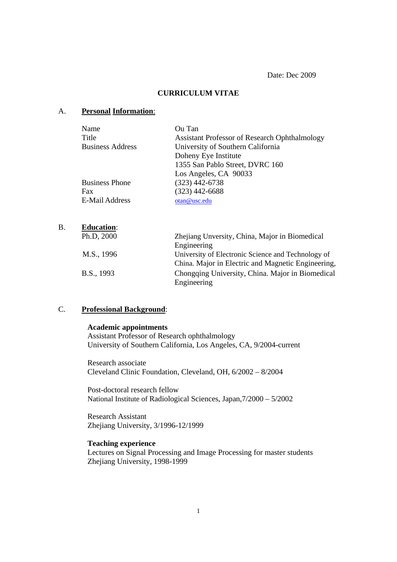Date: Dec 2009

## **CURRICULUM VITAE**

#### A. **Personal Information**:

| Name                    | Ou Tan                                               |
|-------------------------|------------------------------------------------------|
| Title                   | <b>Assistant Professor of Research Ophthalmology</b> |
| <b>Business Address</b> | University of Southern California                    |
|                         | Doheny Eye Institute                                 |
|                         | 1355 San Pablo Street, DVRC 160                      |
|                         | Los Angeles, CA 90033                                |
| <b>Business Phone</b>   | $(323)$ 442-6738                                     |
| Fax                     | $(323)$ 442-6688                                     |
| <b>E-Mail Address</b>   | otan@usc.edu                                         |

| <b>B.</b>  | <b>Education:</b>                                  |                                                    |
|------------|----------------------------------------------------|----------------------------------------------------|
|            | Ph.D, 2000                                         | Zhejiang Unversity, China, Major in Biomedical     |
| M.S., 1996 |                                                    | Engineering                                        |
|            |                                                    | University of Electronic Science and Technology of |
|            | China. Major in Electric and Magnetic Engineering, |                                                    |
|            | B.S., 1993                                         | Chongqing University, China. Major in Biomedical   |
|            |                                                    | Engineering                                        |

#### C. **Professional Background**:

### **Academic appointments**

Assistant Professor of Research ophthalmology University of Southern California, Los Angeles, CA, 9/2004-current

Research associate Cleveland Clinic Foundation, Cleveland, OH, 6/2002 – 8/2004

Post-doctoral research fellow National Institute of Radiological Sciences, Japan,7/2000 – 5/2002

Research Assistant Zhejiang University, 3/1996-12/1999

# **Teaching experience**

Lectures on Signal Processing and Image Processing for master students Zhejiang University, 1998-1999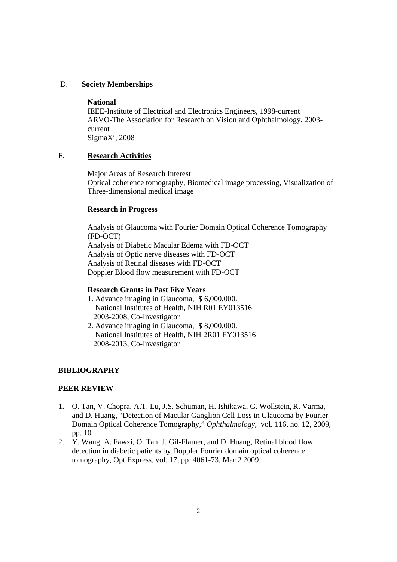## D. **Society Memberships**

### **National**

IEEE-Institute of Electrical and Electronics Engineers, 1998-current ARVO-The Association for Research on Vision and Ophthalmology, 2003 current SigmaXi, 2008

## F. **Research Activities**

 Major Areas of Research Interest Optical coherence tomography, Biomedical image processing, Visualization of Three-dimensional medical image

### **Research in Progress**

Analysis of Glaucoma with Fourier Domain Optical Coherence Tomography (FD-OCT) Analysis of Diabetic Macular Edema with FD-OCT Analysis of Optic nerve diseases with FD-OCT Analysis of Retinal diseases with FD-OCT Doppler Blood flow measurement with FD-OCT

#### **Research Grants in Past Five Years**

- 1. Advance imaging in Glaucoma, \$ 6,000,000. National Institutes of Health, NIH R01 EY013516 2003-2008, Co-Investigator
- 2. Advance imaging in Glaucoma, \$ 8,000,000. National Institutes of Health, NIH 2R01 EY013516 2008-2013, Co-Investigator

## **BIBLIOGRAPHY**

## **PEER REVIEW**

- 1. O. Tan, V. Chopra, A.T. Lu, J.S. Schuman, H. Ishikawa, G. Wollstein, R. Varma, and D. Huang, "Detection of Macular Ganglion Cell Loss in Glaucoma by Fourier-Domain Optical Coherence Tomography," *Ophthalmology*, vol. 116, no. 12, 2009, pp. 10
- 2. Y. Wang, A. Fawzi, O. Tan, J. Gil-Flamer, and D. Huang, Retinal blood flow detection in diabetic patients by Doppler Fourier domain optical coherence tomography, Opt Express, vol. 17, pp. 4061-73, Mar 2 2009.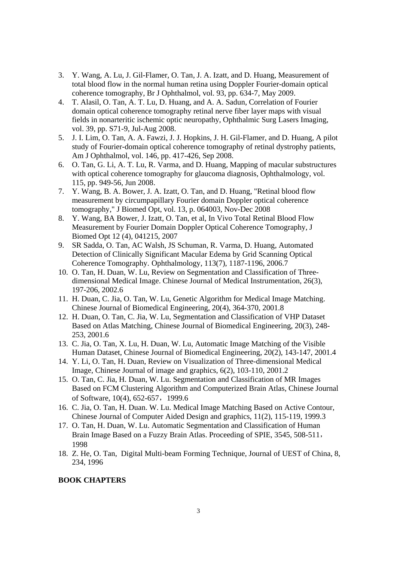- 3. Y. Wang, A. Lu, J. Gil-Flamer, O. Tan, J. A. Izatt, and D. Huang, Measurement of total blood flow in the normal human retina using Doppler Fourier-domain optical coherence tomography, Br J Ophthalmol, vol. 93, pp. 634-7, May 2009.
- 4. T. Alasil, O. Tan, A. T. Lu, D. Huang, and A. A. Sadun, Correlation of Fourier domain optical coherence tomography retinal nerve fiber layer maps with visual fields in nonarteritic ischemic optic neuropathy, Ophthalmic Surg Lasers Imaging, vol. 39, pp. S71-9, Jul-Aug 2008.
- 5. J. I. Lim, O. Tan, A. A. Fawzi, J. J. Hopkins, J. H. Gil-Flamer, and D. Huang, A pilot study of Fourier-domain optical coherence tomography of retinal dystrophy patients, Am J Ophthalmol, vol. 146, pp. 417-426, Sep 2008.
- 6. O. Tan, G. Li, A. T. Lu, R. Varma, and D. Huang, Mapping of macular substructures with optical coherence tomography for glaucoma diagnosis, Ophthalmology, vol. 115, pp. 949-56, Jun 2008.
- 7. Y. Wang, B. A. Bower, J. A. Izatt, O. Tan, and D. Huang, "Retinal blood flow measurement by circumpapillary Fourier domain Doppler optical coherence tomography," J Biomed Opt, vol. 13, p. 064003, Nov-Dec 2008
- 8. Y. Wang, BA Bower, J. Izatt, O. Tan, et al, In Vivo Total Retinal Blood Flow Measurement by Fourier Domain Doppler Optical Coherence Tomography, J Biomed Opt 12 (4), 041215, 2007
- 9. SR Sadda, O. Tan, AC Walsh, JS Schuman, R. Varma, D. Huang, Automated Detection of Clinically Significant Macular Edema by Grid Scanning Optical Coherence Tomography. Ophthalmology, 113(7), 1187-1196, 2006.7
- 10. O. Tan, H. Duan, W. Lu, Review on Segmentation and Classification of Threedimensional Medical Image. Chinese Journal of Medical Instrumentation, 26(3), 197-206, 2002.6
- 11. H. Duan, C. Jia, O. Tan, W. Lu, Genetic Algorithm for Medical Image Matching. Chinese Journal of Biomedical Engineering, 20(4), 364-370, 2001.8
- 12. H. Duan, O. Tan, C. Jia, W. Lu, Segmentation and Classification of VHP Dataset Based on Atlas Matching, Chinese Journal of Biomedical Engineering, 20(3), 248- 253, 2001.6
- 13. C. Jia, O. Tan, X. Lu, H. Duan, W. Lu, Automatic Image Matching of the Visible Human Dataset, Chinese Journal of Biomedical Engineering, 20(2), 143-147, 2001.4
- 14. Y. Li, O. Tan, H. Duan, Review on Visualization of Three-dimensional Medical Image, Chinese Journal of image and graphics, 6(2), 103-110, 2001.2
- 15. O. Tan, C. Jia, H. Duan, W. Lu. Segmentation and Classification of MR Images Based on FCM Clustering Algorithm and Computerized Brain Atlas, Chinese Journal of Software, 10(4), 652-657, 1999.6
- 16. C. Jia, O. Tan, H. Duan. W. Lu. Medical Image Matching Based on Active Contour, Chinese Journal of Computer Aided Design and graphics, 11(2), 115-119, 1999.3
- 17. O. Tan, H. Duan, W. Lu. Automatic Segmentation and Classification of Human Brain Image Based on a Fuzzy Brain Atlas. Proceeding of SPIE, 3545, 508-511, 1998
- 18. Z. He, O. Tan, Digital Multi-beam Forming Technique, Journal of UEST of China, 8, 234, 1996

### **BOOK CHAPTERS**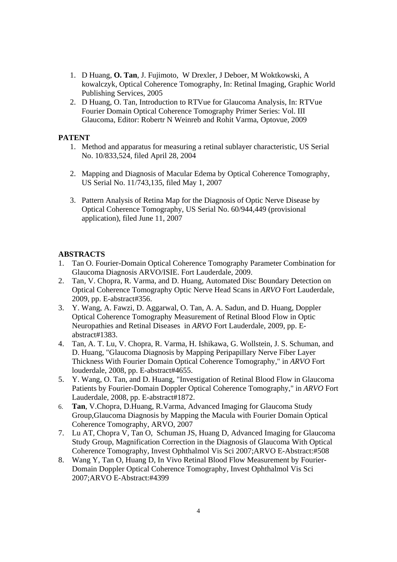- 1. D Huang, **O. Tan**, J. Fujimoto, W Drexler, J Deboer, M Woktkowski, A kowalczyk, Optical Coherence Tomography, In: Retinal Imaging, Graphic World Publishing Services, 2005
- 2. D Huang, O. Tan, Introduction to RTVue for Glaucoma Analysis, In: RTVue Fourier Domain Optical Coherence Tomography Primer Series: Vol. III Glaucoma, Editor: Robertr N Weinreb and Rohit Varma, Optovue, 2009

### **PATENT**

- 1. Method and apparatus for measuring a retinal sublayer characteristic, US Serial No. 10/833,524, filed April 28, 2004
- 2. Mapping and Diagnosis of Macular Edema by Optical Coherence Tomography, US Serial No. 11/743,135, filed May 1, 2007
- 3. Pattern Analysis of Retina Map for the Diagnosis of Optic Nerve Disease by Optical Coherence Tomography, US Serial No. 60/944,449 (provisional application), filed June 11, 2007

## **ABSTRACTS**

- 1. Tan O. Fourier-Domain Optical Coherence Tomography Parameter Combination for Glaucoma Diagnosis ARVO/ISIE. Fort Lauderdale, 2009.
- 2. Tan, V. Chopra, R. Varma, and D. Huang, Automated Disc Boundary Detection on Optical Coherence Tomography Optic Nerve Head Scans in *ARVO* Fort Lauderdale, 2009, pp. E-abstract#356.
- 3. Y. Wang, A. Fawzi, D. Aggarwal, O. Tan, A. A. Sadun, and D. Huang, Doppler Optical Coherence Tomography Measurement of Retinal Blood Flow in Optic Neuropathies and Retinal Diseases in *ARVO* Fort Lauderdale, 2009, pp. Eabstract#1383.
- 4. Tan, A. T. Lu, V. Chopra, R. Varma, H. Ishikawa, G. Wollstein, J. S. Schuman, and D. Huang, "Glaucoma Diagnosis by Mapping Peripapillary Nerve Fiber Layer Thickness With Fourier Domain Optical Coherence Tomography," in *ARVO* Fort louderdale, 2008, pp. E-abstract#4655.
- 5. Y. Wang, O. Tan, and D. Huang, "Investigation of Retinal Blood Flow in Glaucoma Patients by Fourier-Domain Doppler Optical Coherence Tomography," in *ARVO* Fort Lauderdale, 2008, pp. E-abstract#1872.
- 6. **Tan**, V.Chopra, D.Huang, R.Varma, Advanced Imaging for Glaucoma Study Group,Glaucoma Diagnosis by Mapping the Macula with Fourier Domain Optical Coherence Tomography, ARVO, 2007
- 7. Lu AT, Chopra V, Tan O, Schuman JS, Huang D, Advanced Imaging for Glaucoma Study Group, Magnification Correction in the Diagnosis of Glaucoma With Optical Coherence Tomography, Invest Ophthalmol Vis Sci 2007;ARVO E-Abstract:#508
- 8. Wang Y, Tan O, Huang D, In Vivo Retinal Blood Flow Measurement by Fourier-Domain Doppler Optical Coherence Tomography, Invest Ophthalmol Vis Sci 2007;ARVO E-Abstract:#4399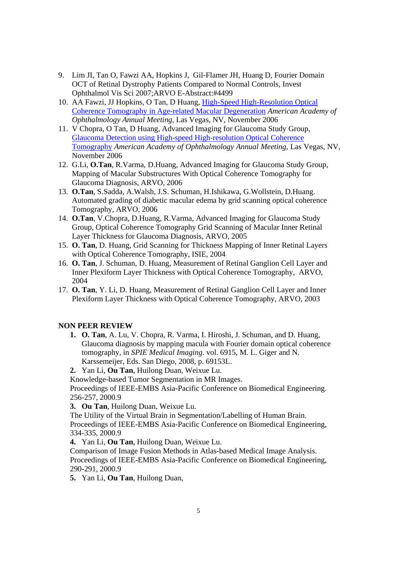- 9. Lim JI, Tan O, Fawzi AA, Hopkins J, Gil-Flamer JH, Huang D, Fourier Domain OCT of Retinal Dystrophy Patients Compared to Normal Controls, Invest Ophthalmol Vis Sci 2007;ARVO E-Abstract:#4499
- 10. AA Fawzi, JJ Hopkins, O Tan, D Huang, High-Speed High-Resolution Optical Coherence Tomography in Age-related Macular Degeneration *American Academy of Ophthalmology Annual Meeting*, Las Vegas, NV, November 2006
- 11. V Chopra, O Tan, D Huang, Advanced Imaging for Glaucoma Study Group, Glaucoma Detection using High-speed High-resolution Optical Coherence Tomography *American Academy of Ophthalmology Annual Meeting*, Las Vegas, NV, November 2006
- 12. G.Li, **O.Tan**, R.Varma, D.Huang, Advanced Imaging for Glaucoma Study Group, Mapping of Macular Substructures With Optical Coherence Tomography for Glaucoma Diagnosis, ARVO, 2006
- 13. **O.Tan**, S.Sadda, A.Walsh, J.S. Schuman, H.Ishikawa, G.Wollstein, D.Huang. Automated grading of diabetic macular edema by grid scanning optical coherence Tomography, ARVO, 2006
- 14. **O.Tan**, V.Chopra, D.Huang, R.Varma, Advanced Imaging for Glaucoma Study Group, Optical Coherence Tomography Grid Scanning of Macular Inner Retinal Layer Thickness for Glaucoma Diagnosis, ARVO, 2005
- 15. **O. Tan**, D. Huang, Grid Scanning for Thickness Mapping of Inner Retinal Layers with Optical Coherence Tomography, ISIE, 2004
- 16. **O. Tan**, J. Schuman, D. Huang, Measurement of Retinal Ganglion Cell Layer and Inner Plexiform Layer Thickness with Optical Coherence Tomography, ARVO, 2004
- 17. **O. Tan**, Y. Li, D. Huang, Measurement of Retinal Ganglion Cell Layer and Inner Plexiform Layer Thickness with Optical Coherence Tomography, ARVO, 2003

#### **NON PEER REVIEW**

- **1. O. Tan**, A. Lu, V. Chopra, R. Varma, I. Hiroshi, J. Schuman, and D. Huang, Glaucoma diagnosis by mapping macula with Fourier domain optical coherence tomography, in *SPIE Medical Imaging*. vol. 6915, M. L. Giger and N. Karssemeijer, Eds. San Diego, 2008, p. 69153L.
- **2.** Yan Li, **Ou Tan**, Huilong Duan, Weixue Lu.

Knowledge-based Tumor Segmentation in MR Images.

Proceedings of IEEE-EMBS Asia-Pacific Conference on Biomedical Engineering. 256-257, 2000.9

**3. Ou Tan**, Huilong Duan, Weixue Lu.

The Utility of the Virtual Brain in Segmentation/Labelling of Human Brain. Proceedings of IEEE-EMBS Asia-Pacific Conference on Biomedical Engineering, 334-335, 2000.9

**4.** Yan Li, **Ou Tan**, Huilong Duan, Weixue Lu.

Comparison of Image Fusion Methods in Atlas-based Medical Image Analysis. Proceedings of IEEE-EMBS Asia-Pacific Conference on Biomedical Engineering, 290-291, 2000.9

**5.** Yan Li, **Ou Tan**, Huilong Duan,